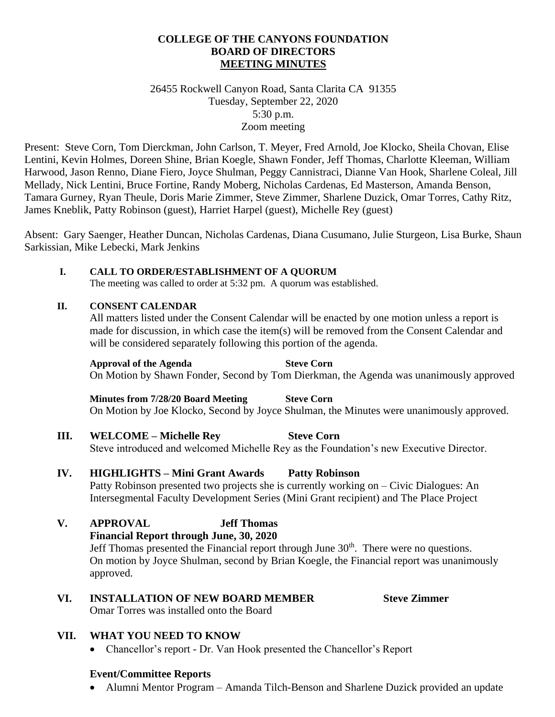### **COLLEGE OF THE CANYONS FOUNDATION BOARD OF DIRECTORS MEETING MINUTES**

### 26455 Rockwell Canyon Road, Santa Clarita CA 91355 Tuesday, September 22, 2020 5:30 p.m. Zoom meeting

Present: Steve Corn, Tom Dierckman, John Carlson, T. Meyer, Fred Arnold, Joe Klocko, Sheila Chovan, Elise Lentini, Kevin Holmes, Doreen Shine, Brian Koegle, Shawn Fonder, Jeff Thomas, Charlotte Kleeman, William Harwood, Jason Renno, Diane Fiero, Joyce Shulman, Peggy Cannistraci, Dianne Van Hook, Sharlene Coleal, Jill Mellady, Nick Lentini, Bruce Fortine, Randy Moberg, Nicholas Cardenas, Ed Masterson, Amanda Benson, Tamara Gurney, Ryan Theule, Doris Marie Zimmer, Steve Zimmer, Sharlene Duzick, Omar Torres, Cathy Ritz, James Kneblik, Patty Robinson (guest), Harriet Harpel (guest), Michelle Rey (guest)

Absent: Gary Saenger, Heather Duncan, Nicholas Cardenas, Diana Cusumano, Julie Sturgeon, Lisa Burke, Shaun Sarkissian, Mike Lebecki, Mark Jenkins

#### **I. CALL TO ORDER/ESTABLISHMENT OF A QUORUM**

The meeting was called to order at 5:32 pm. A quorum was established.

### **II. CONSENT CALENDAR**

All matters listed under the Consent Calendar will be enacted by one motion unless a report is made for discussion, in which case the item(s) will be removed from the Consent Calendar and will be considered separately following this portion of the agenda.

#### **Approval of the Agenda Steve Corn**

# On Motion by Shawn Fonder, Second by Tom Dierkman, the Agenda was unanimously approved

**Minutes from 7/28/20 Board Meeting Steve Corn** On Motion by Joe Klocko, Second by Joyce Shulman, the Minutes were unanimously approved.

## **III. WELCOME – Michelle Rey Steve Corn**

Steve introduced and welcomed Michelle Rey as the Foundation's new Executive Director.

## **IV. HIGHLIGHTS – Mini Grant Awards Patty Robinson**

Patty Robinson presented two projects she is currently working on – Civic Dialogues: An Intersegmental Faculty Development Series (Mini Grant recipient) and The Place Project

## **V. APPROVAL Jeff Thomas**

**Financial Report through June, 30, 2020** Jeff Thomas presented the Financial report through June  $30<sup>th</sup>$ . There were no questions. On motion by Joyce Shulman, second by Brian Koegle, the Financial report was unanimously approved.

## **VI. INSTALLATION OF NEW BOARD MEMBER Steve Zimmer**

Omar Torres was installed onto the Board

## **VII. WHAT YOU NEED TO KNOW**

• Chancellor's report - Dr. Van Hook presented the Chancellor's Report

## **Event/Committee Reports**

Alumni Mentor Program – Amanda Tilch-Benson and Sharlene Duzick provided an update